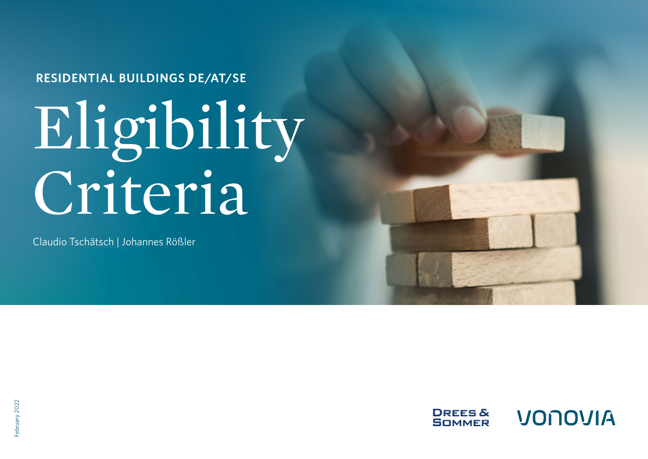**RESIDENTIAL BUILDINGS DE/AT/SE**

# Eligibility Criteria

Claudio Tschätsch | Johannes Rößler

**DREES&** VONOVIA **SOMMER** 

ebruary 2022 February 2022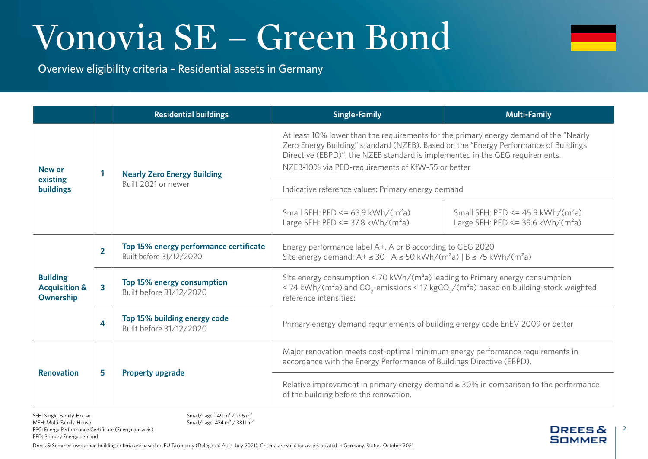2

**DREES & SOMMER** 

Overview eligibility criteria – Residential assets in Germany

|                                                          |                         | <b>Residential buildings</b>                                      | <b>Single-Family</b>                                                                                                                                                                                                                                                                                               | <b>Multi-Family</b>                                                                               |  |
|----------------------------------------------------------|-------------------------|-------------------------------------------------------------------|--------------------------------------------------------------------------------------------------------------------------------------------------------------------------------------------------------------------------------------------------------------------------------------------------------------------|---------------------------------------------------------------------------------------------------|--|
| New or<br>existing<br><b>buildings</b>                   |                         | <b>Nearly Zero Energy Building</b><br>Built 2021 or newer         | At least 10% lower than the requirements for the primary energy demand of the "Nearly<br>Zero Energy Building" standard (NZEB). Based on the "Energy Performance of Buildings<br>Directive (EBPD)", the NZEB standard is implemented in the GEG requirements.<br>NZEB-10% via PED-requirements of KfW-55 or better |                                                                                                   |  |
|                                                          |                         |                                                                   | Indicative reference values: Primary energy demand                                                                                                                                                                                                                                                                 |                                                                                                   |  |
|                                                          |                         |                                                                   | Small SFH: $PED \le 63.9$ kWh/(m <sup>2</sup> a)<br>Large SFH: $PED \le 37.8$ kWh/( $m^2a$ )                                                                                                                                                                                                                       | Small SFH: PED <= $45.9$ kWh/(m <sup>2</sup> a)<br>Large SFH: $PED \le 39.6 \text{ kWh} / (m^2a)$ |  |
| <b>Building</b><br><b>Acquisition &amp;</b><br>Ownership | $\overline{2}$          | Top 15% energy performance certificate<br>Built before 31/12/2020 | Energy performance label A+, A or B according to GEG 2020<br>Site energy demand: A+ ≤ 30   A ≤ 50 kWh/(m <sup>2</sup> a)   B ≤ 75 kWh/(m <sup>2</sup> a)                                                                                                                                                           |                                                                                                   |  |
|                                                          | $\overline{\mathbf{3}}$ | Top 15% energy consumption<br>Built before 31/12/2020             | Site energy consumption < 70 kWh/( $m2a$ ) leading to Primary energy consumption<br>< 74 kWh/( $m^2$ a) and CO <sub>2</sub> -emissions < 17 kgCO <sub>2</sub> /( $m^2$ a) based on building-stock weighted<br>reference intensities:                                                                               |                                                                                                   |  |
|                                                          | 4                       | Top 15% building energy code<br>Built before 31/12/2020           | Primary energy demand requriements of building energy code EnEV 2009 or better                                                                                                                                                                                                                                     |                                                                                                   |  |
| <b>Renovation</b>                                        | 5                       |                                                                   | Major renovation meets cost-optimal minimum energy performance requirements in<br>accordance with the Energy Performance of Buildings Directive (EBPD).                                                                                                                                                            |                                                                                                   |  |
|                                                          |                         | <b>Property upgrade</b>                                           | Relative improvement in primary energy demand $\geq$ 30% in comparison to the performance<br>of the building before the renovation.                                                                                                                                                                                |                                                                                                   |  |

SFH: Single-Family-House MFH: Multi-Family-House EPC: Energy Performance Certificate (Energieausweis) PED: Primary Energy demand

Small/Lage: 149 m² / 296 m² Small/Lage: 474 m² / 3811 m²

Drees & Sommer low carbon building criteria are based on EU Taxonomy (Delegated Act – July 2021). Criteria are valid for assets located in Germany. Status: October 2021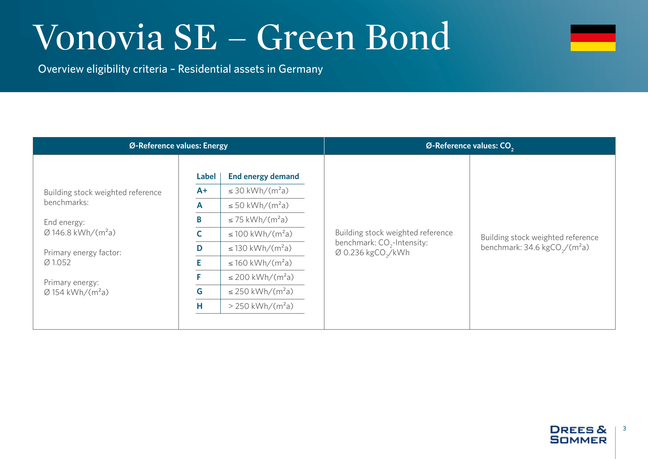

Overview eligibility criteria – Residential assets in Germany

| Ø-Reference values: Energy                                                                                                                                                                                        |                                                               |                                                                                                                                                                                                                                                                                                                                       | Ø-Reference values: CO <sub>2</sub>                                                                 |                                                                                        |  |
|-------------------------------------------------------------------------------------------------------------------------------------------------------------------------------------------------------------------|---------------------------------------------------------------|---------------------------------------------------------------------------------------------------------------------------------------------------------------------------------------------------------------------------------------------------------------------------------------------------------------------------------------|-----------------------------------------------------------------------------------------------------|----------------------------------------------------------------------------------------|--|
| Building stock weighted reference<br>benchmarks:<br>End energy:<br>$\varnothing$ 146.8 kWh/(m <sup>2</sup> a)<br>Primary energy factor:<br>Ø 1.052<br>Primary energy:<br>$\varnothing$ 154 kWh/(m <sup>2</sup> a) | <b>Label</b><br>$A+$<br>$\mathsf{A}$<br>B<br>D<br>F<br>G<br>Н | <b>End energy demand</b><br>$\leq$ 30 kWh/(m <sup>2</sup> a)<br>$\leq$ 50 kWh/(m <sup>2</sup> a)<br>$\leq$ 75 kWh/(m <sup>2</sup> a)<br>$\leq$ 100 kWh/(m <sup>2</sup> a)<br>$\leq$ 130 kWh/(m <sup>2</sup> a)<br>$\leq$ 160 kWh/(m <sup>2</sup> a)<br>≤ 200 kWh/( $m^2$ a)<br>≤ 250 kWh/( $m^2$ a)<br>$> 250$ kWh/(m <sup>2</sup> a) | Building stock weighted reference<br>benchmark: $CO2$ -Intensity:<br>Ø 0.236 kgCO <sub>2</sub> /kWh | Building stock weighted reference<br>benchmark: $34.6 \text{ kgCO}_{2}/(\text{m}^2 a)$ |  |

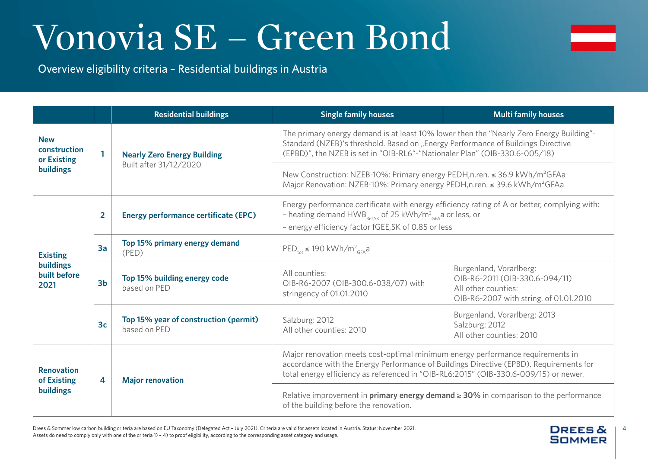

Overview eligibility criteria – Residential buildings in Austria

|                                                             |                | <b>Residential buildings</b>                          | <b>Single family houses</b><br><b>Multi family houses</b>                                                                                                                                                                                                        |                                                                                                                            |  |
|-------------------------------------------------------------|----------------|-------------------------------------------------------|------------------------------------------------------------------------------------------------------------------------------------------------------------------------------------------------------------------------------------------------------------------|----------------------------------------------------------------------------------------------------------------------------|--|
| <b>New</b><br>construction<br>or Existing<br>buildings      | $\mathbf{1}$   | <b>Nearly Zero Energy Building</b>                    | The primary energy demand is at least 10% lower then the "Nearly Zero Energy Building"-<br>Standard (NZEB)'s threshold. Based on "Energy Performance of Buildings Directive<br>(EPBD)", the NZEB is set in "OIB-RL6"-"Nationaler Plan" (OIB-330.6-005/18)        |                                                                                                                            |  |
|                                                             |                | Built after 31/12/2020                                | New Construction: NZEB-10%: Primary energy PEDH, n.ren. ≤ 36.9 kWh/m <sup>2</sup> GFAa<br>Major Renovation: NZEB-10%: Primary energy PEDH, n.ren. ≤ 39.6 kWh/m <sup>2</sup> GFAa                                                                                 |                                                                                                                            |  |
| <b>Existing</b><br><b>buildings</b><br>built before<br>2021 | $\overline{2}$ | <b>Energy performance certificate (EPC)</b>           | Energy performance certificate with energy efficiency rating of A or better, complying with:<br>- heating demand HWB <sub>RefSK</sub> of 25 kWh/m <sup>2</sup> <sub>GFA</sub> a or less, or<br>- energy efficiency factor fGEE, SK of 0.85 or less               |                                                                                                                            |  |
|                                                             | 3a             | Top 15% primary energy demand<br>(PED)                | $\mathsf{PED}_{\mathsf{tot}} \leq 190 \mathsf{kWh/m^2}_{\mathsf{GFA}}$ a                                                                                                                                                                                         |                                                                                                                            |  |
|                                                             | 3 <sub>b</sub> | Top 15% building energy code<br>based on PED          | All counties:<br>OIB-R6-2007 (OIB-300.6-038/07) with<br>stringency of 01.01.2010                                                                                                                                                                                 | Burgenland, Vorarlberg:<br>OIB-R6-2011 (OIB-330.6-094/11)<br>All other counties:<br>OIB-R6-2007 with string. of 01.01.2010 |  |
|                                                             | 3 <sub>c</sub> | Top 15% year of construction (permit)<br>based on PED | Salzburg: 2012<br>All other counties: 2010                                                                                                                                                                                                                       | Burgenland, Vorarlberg: 2013<br>Salzburg: 2012<br>All other counties: 2010                                                 |  |
| <b>Renovation</b><br>of Existing<br><b>buildings</b>        | $\overline{4}$ | <b>Major renovation</b>                               | Major renovation meets cost-optimal minimum energy performance requirements in<br>accordance with the Energy Performance of Buildings Directive (EPBD). Requirements for<br>total energy efficiency as referenced in "OIB-RL6:2015" (OIB-330.6-009/15) or newer. |                                                                                                                            |  |
|                                                             |                |                                                       | Relative improvement in <b>primary energy demand <math>\geq</math> 30%</b> in comparison to the performance<br>of the building before the renovation.                                                                                                            |                                                                                                                            |  |

Drees & Sommer low carbon building criteria are based on EU Taxonomy (Delegated Act – July 2021). Criteria are valid for assets located in Austria. Status: November 2021. 
<br>
<br> **DREES & AUSTREES &** | 4 Assets do need to comply only with one of the criteria 1) – 4) to proof eligibility, according to the corresponding asset category and usage.

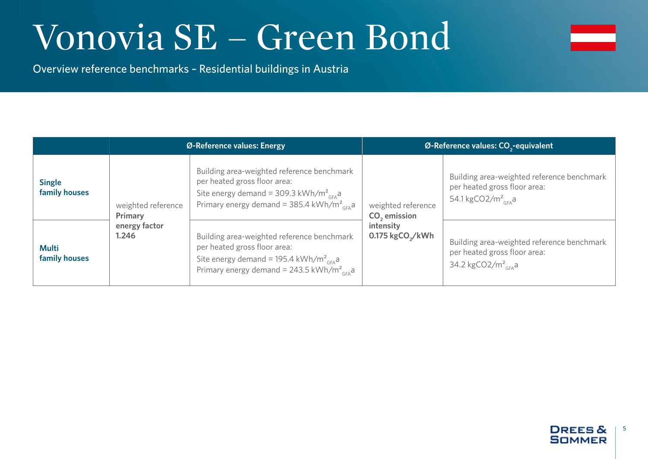

Overview reference benchmarks – Residential buildings in Austria

|                                |                               | Ø-Reference values: Energy                                                                                                                                                                                        | Ø-Reference values: CO <sub>2</sub> -equivalent |                                                                                                                          |  |
|--------------------------------|-------------------------------|-------------------------------------------------------------------------------------------------------------------------------------------------------------------------------------------------------------------|-------------------------------------------------|--------------------------------------------------------------------------------------------------------------------------|--|
| <b>Single</b><br>family houses | weighted reference<br>Primary | Building area-weighted reference benchmark<br>per heated gross floor area:<br>Site energy demand = 309.3 kWh/m <sup>2</sup> <sub>GFA</sub><br>Primary energy demand = 385.4 kWh/m <sup>2</sup> <sub>GFA</sub>     | weighted reference<br>CO <sub>2</sub> emission  | Building area-weighted reference benchmark<br>per heated gross floor area:<br>54.1 kgCO2/m <sup>2</sup> <sub>GFA</sub> a |  |
| <b>Multi</b><br>family houses  | energy factor<br>1.246        | Building area-weighted reference benchmark<br>per heated gross floor area:<br>Site energy demand = 195.4 kWh/m <sup>2</sup> <sub>GFA</sub> a<br>Primary energy demand = 243.5 kWh/m <sup>2</sup> <sub>GFA</sub> a | intensity<br>0.175 kgCO <sub>2</sub> /kWh       | Building area-weighted reference benchmark<br>per heated gross floor area:<br>34.2 kgCO2/m <sup>2</sup> <sub>cEA</sub> a |  |

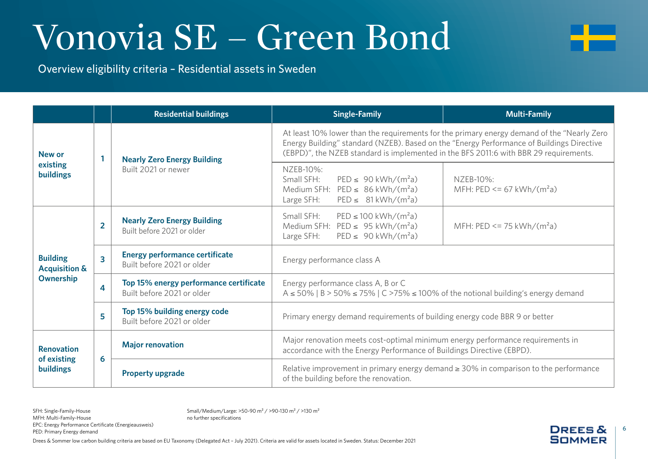

Overview eligibility criteria – Residential assets in Sweden

|                                                          |                | <b>Residential buildings</b>                                                                      | <b>Single-Family</b>                                                                                                                                                                                                                                                              | <b>Multi-Family</b>                        |  |
|----------------------------------------------------------|----------------|---------------------------------------------------------------------------------------------------|-----------------------------------------------------------------------------------------------------------------------------------------------------------------------------------------------------------------------------------------------------------------------------------|--------------------------------------------|--|
| New or<br>existing<br><b>buildings</b>                   |                | <b>Nearly Zero Energy Building</b><br>Built 2021 or newer                                         | At least 10% lower than the requirements for the primary energy demand of the "Nearly Zero"<br>Energy Building" standard (NZEB). Based on the "Energy Performance of Buildings Directive<br>(EBPD)", the NZEB standard is implemented in the BFS 2011:6 with BBR 29 requirements. |                                            |  |
|                                                          |                |                                                                                                   | NZEB-10%:<br>Small SFH:<br>$PED \le 90$ kWh/(m <sup>2</sup> a)<br>Medium SFH: $PED \leq 86$ kWh/(m <sup>2</sup> a)<br>$PED \leq 81 \text{ kWh} / (m^2a)$<br>Large SFH:                                                                                                            | NZEB-10%:<br>MFH: PED <= 67 kWh/( $m^2$ a) |  |
| <b>Building</b><br><b>Acquisition &amp;</b><br>Ownership | $\overline{2}$ | <b>Nearly Zero Energy Building</b><br>Built before 2021 or older                                  | Small SFH:<br>$PED \le 100$ kWh/(m <sup>2</sup> a)<br>Medium SFH: $PED \leq 95$ kWh/(m <sup>2</sup> a)<br>$PED \leq 90$ kWh/(m <sup>2</sup> a)<br>Large SFH:                                                                                                                      | MFH: PED <= 75 kWh/( $m^2a$ )              |  |
|                                                          | 3              | <b>Energy performance certificate</b><br>Energy performance class A<br>Built before 2021 or older |                                                                                                                                                                                                                                                                                   |                                            |  |
|                                                          | 4              | Top 15% energy performance certificate<br>Built before 2021 or older                              | Energy performance class A, B or C<br>$A \le 50\%$   B > 50% $\le 75\%$   C > 75% $\le 100\%$ of the notional building's energy demand                                                                                                                                            |                                            |  |
|                                                          | 5              | Top 15% building energy code<br>Built before 2021 or older                                        | Primary energy demand requirements of building energy code BBR 9 or better                                                                                                                                                                                                        |                                            |  |
| <b>Renovation</b><br>of existing<br><b>buildings</b>     | 6              | <b>Major renovation</b>                                                                           | Major renovation meets cost-optimal minimum energy performance requirements in<br>accordance with the Energy Performance of Buildings Directive (EBPD).                                                                                                                           |                                            |  |
|                                                          |                | <b>Property upgrade</b>                                                                           | Relative improvement in primary energy demand $\geq$ 30% in comparison to the performance<br>of the building before the renovation.                                                                                                                                               |                                            |  |

SFH: Single-Family-House MFH: Multi-Family-House EPC: Energy Performance Certificate (Energieausweis) PED: Primary Energy demand

Small/Medium/Large: >50-90 m² / >90-130 m² / >130 m² no further specifications

Drees & Sommer low carbon building criteria are based on EU Taxonomy (Delegated Act – July 2021). Criteria are valid for assets located in Sweden. Status: December 2021